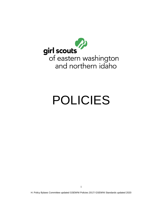

# POLICIES

H: Policy Bylaws Committee updated GSEWNI Policies 2017/ GSEWNI Standards updated 2020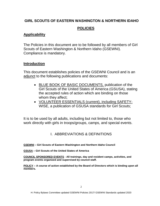# **GIRL SCOUTS OF EASTERN WASHINGTON & NORTHERN IDAHO**

# **POLICIES**

# **Applicability**

The Policies in this document are to be followed by all members of Girl Scouts of Eastern Washington & Northern Idaho (GSEWNI). Compliance is mandatory.

## **Introduction**

This document establishes policies of the GSEWNI Council and is an adjunct to the following publications and documents:

- BLUE BOOK OF BASIC DOCUMENTS, publication of the Girl Scouts of the United States of America (GSUSA), stating the accepted rules of action which are binding on those whom they affect;
- VOLUNTEER ESSENTIALS (current), including SAFETY-WISE, a publication of GSUSA standards for Girl Scouts;

It is to be used by all adults, including but not limited to, those who work directly with girls in troops/groups, camps, and special events.

# I. ABBREVIATIONS & DEFINITIONS

**GSEWNI – Girl Scouts of Eastern Washington and Northern Idaho Council**

**GSUSA – Girl Scouts of the United States of America**

**COUNCIL SPONSORED EVENTS - All trainings, day and resident camps, activities, and program events organized and supervised by council staff.**

**POLICY – A course of action established by the Board of Directors which is binding upon all members.**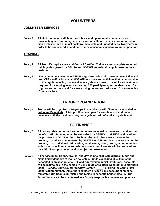## **II. VOLUNTEERS**

## **VOLUNTEER SERVICES**

**Policy 1: All staff, potential staff, board members, and operational volunteers, except those acting in a temporary, advisory, or consultative capacity, are required to sign a release for a criminal background check, and updated every two years, in order to be considered a candidate for, or remain in, a paid or volunteer position.** 

## **TRAINING**

- **Policy 2: All Troop/Group Leaders and Council Certified Trainers must complete required trainings designated by GSUSA and GSEWNI to maintain appointment to their position.**
- **Policy 3: There must be at least one GSUSA-registered adult with current Level I First Aid and CPR certifications at all GSEWNI functions and activities that occur outside of the regular meeting place and where girls are present. Level 2 certification is required for camping events exceeding 200 participants, for resident camp, for high ropes courses, and for events using non-motorized travel 10 or more miles from a trailhead.**

## **III. TROOP ORGANIZATION**

**Policy 4: Troops will be organized into groups in compliance with Standards as stated in Volunteer Essentials. A troop will remain open for enrollment of additional members until the maximum program age level ratio of adults to girls is met.** 

## **IV. FINANCE**

- **Policy 5: All money raised or earned and other assets received in the name of and for the benefit of Girl Scouting must be authorized by GSEWNI or GSUSA and used for the purposes of Girl Scouting. Such monies and other assets become the property of and are administered by GSEWNI or GSUSA. Such assets are not the property of an individual girl or adult, service unit, troop, group, or communities within the council. Any person who misuses council assets will be removed from their Girl Scout position(s) and is subject to prosecution.**
- **Policy 6: All service units, troops, groups, and day camps shall safeguard all funds and make timely deposits of monies collected. Funds exceeding \$25.00 must be deposited in an account at a GSEWNI-approved financial institution. Accounts will be maintained in the name of "Girl Scouts of Eastern Washington & Northern Idaho – Service Unit/Group/Troop/Day Camp # \_\_\_\_\_" utilizing the council tax identification number. All authorized users of each bank account(s) must be registered Girl Scouts, unrelated and reside in separate households. All Girl Scout funds are to be maintained in a fiscally responsible manner and practice.**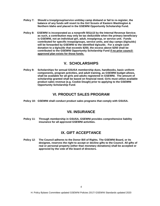- **Policy 7: Should a troop/group/service unit/day camp disband or fail to re-register, the balance of any funds will revert to the Girl Scouts of Eastern Washington & Northern Idaho and placed in the GSEWNI Opportunity Scholarship Fund.**
- **Policy 8: GSEWNI is incorporated as a nonprofit 501(c)3 by the Internal Revenue Service; as such, a contribution may only be tax deductible when the primary beneficiary is GSEWNI, not an individual girl, adult, troop/group, or service unit. Funds contributed for specific troops/groups, service units, and day camps (t/g/su/dc) will be forwarded by GSEWNI to the identified t/g/su/dc. For a single cash donation to a t/g/su/dc that exceeds \$250, the excess above \$250 shall be contributed to the GSEWNI Opportunity Scholarship Fund if no prior councilapproved plan exists for those funds.**

# **V. SCHOLARSHIPS**

**Policy 9: Scholarships for annual GSUSA membership dues, handbooks, basic uniform components, program activities, and adult training, as GSEWNI budget allows, shall be available for all girls and adults registered in GSEWNI. The amount of scholarship granted shall be based on financial need. Girls must utilize available product sales revenue (e.g. Cookie Dough) prior to applying to the GSEWNI Opportunity Scholarship Fund**.

## **VI. PRODUCT SALES PROGRAM**

**Policy 10: GSEWNI shall conduct product sales programs that comply with GSUSA.**

## **VII. INSURANCE**

**Policy 11**: **Through membership in GSUSA, GSEWNI provides comprehensive liability insurance for all approved GSEWNI activities.** 

# **IX. GIFT ACCEPTANCE**

**Policy 12**: **The Council adheres to the Donor Bill of Rights. The GSEWNI Board, or its designee, reserves the right to accept or decline gifts to the Council. All gifts of real or personal property (other than monetary donations) shall be accepted or approved by the vote of the board of directors.**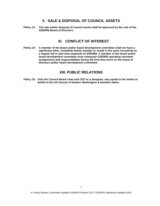## **X. SALE & DISPOSAL OF COUNCIL ASSETS**

**Policy 13**: **The sale and/or disposal of council assets shall be approved by the vote of the GSEWNI Board of Directors.** 

## **XI. CONFLICT OF INTEREST**

**Policy 14: A member of the board and/or board development committee shall not have a significant other, immediate family member or reside in the same household as a regular full or part-time employee of GSEWNI. A member of the board and/or board development committee must relinquish GSEWNI operating volunteer assignments and responsibilities during the time they serve on the board of directors and/or board development committee.** 

## **XIII. PUBLIC RELATIONS**

**Policy 15: Only the Council Board chair and CEO or a designee, may speak to the media on behalf of the Girl Scouts of Eastern Washington & Northern Idaho.**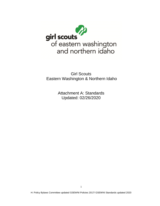

Girl Scouts Eastern Washington & Northern Idaho

> Attachment A: Standards Updated: 02/26/2020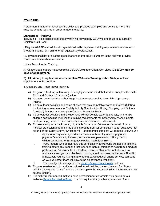## **STANDARD:**

A statement that further describes the policy and provides examples and details to more fully illustrate what is required in order to meet the policy.

#### **Standard(s) – Policy 2**

Individuals: To be eligible to attend any training provided by GSEWNI one must be a currently registered Girl Scout.

- Registered GSEWNI adults with specialized skills may meet training requirements and as such should fill out the form online for an equivalency certification.

- A key responsibility of all adult Troop leaders and/or adult volunteers is the ability to provide conflict resolution whenever needed.

#### I. New Troop Leader Training:

A) All new troop leaders must complete GSUSA Volunteer Orientation video **(GS101) within 60 days of appointment.** 

B) **All primary troop leaders must complete Welcome Training within 90 days** of their appointment to the position.

#### II. Outdoors and Troop Travel Trainings

- A) To go on a field trip with a troop, it is highly recommended that leaders complete the Field Trips and Outings 101 course (online).
- B) To go on overnight trips with a troop, leaders must complete Overnight Trips course (online).
- C) To do outdoor activities and camp at sites that provide potable water and toilets (fulfilling the training requirements for 'Safety Activity Checkpoints- Hiking, Camping, and Outdoor Cooking'), leaders must complete Outdoor Essentials Basic.
- D) To do outdoor activities in the wilderness without potable water and toilets, and to take children backpacking (fulfilling the training requirements for 'Safety Activity checkpoints-Backpacking'), leaders must: complete Outdoor Essentials – Advanced.
- E) To take a troop on a backcountry trip that is further than 30 minutes from help from a medical professional (fulfilling the training requirement for certification as an advanced first aider, per the Safety Activity Checkpoints), leaders must complete Wilderness First Aid OR
	- I. Apply for an equivalency certificate via our website if you are a physician, physician's assistant, licensed practical nurse, paramedic, military medic, wilderness trainer, or Emergency Medical Technician (EMT).
	- II. Troop leaders who do not have this certification/ background will need to take this training before any troop trip that is further than 30 minutes of help from a medical professional. For example, if a trailhead is within 30 minutes of help from an ambulance and you can hike back out to it, you do not need Wilderness First Aid. If, however, you are hiking in a remote area without cell phone service, someone on your volunteer team will have to be an advanced first aider.
	- III. This is subject to change per the *[Safety Activity Checkpoints](https://www.gsewni.org/content/dam/girlscouts-gsewni/documents/Policies/2019%20Edition%20SAC@7.1.2019.pdf)* updates.
- F) To go one extended trips and international travel (fulfilling the requirement for 'Safety activity Checkpoint- Travel,' leaders must complete the Extended Trips/ International travel course (online).
- G) It is highly recommended that you have permission forms for field trips (found on our website- [Parent Permission Form\)](https://www.gsewni.org/content/dam/girlscouts-gsewni/documents/Troop%20and%20Service%20Unit/Parent_Permission_Form.pdf). It is not required that you have permission forms.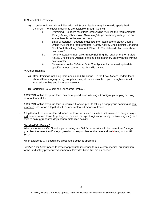- III. Special Skills Training
	- A) In order to do certain activities with Girl Scouts, leaders may have to do specialized trainings. The following trainings are available through Council:
		- i. Swimming Leaders must take Lifeguarding (fulfilling the requirement for 'Safety Activity Checkpoint- Swimming') to go swimming with girls in areas where there is no lifeguard on duty.
		- ii. Small Watercraft Leaders must take the Paddlesports Safety Course Online (fulfilling the requirement for 'Safety Activity Checkpoints: Canoeing, Corcl Boat, Kayaking, Rowboat, Stand Up Paddleboard - flat, near shore, no current)'
		- iii. Archery- Leaders must take Archery (fulfilling the requirement for 'Safety Activity Checkpoint- Archery') to lead girls in archery on any range without an instructor.
		- iv. Please refer to the *Safety Activity Checkpoints* for the most up-to-date specifics about requirements for skills training

IV. Other Trainings

- A) Other trainings including Ceremonies and Traditions, On the Level (where leaders learn about different age groups), troop finances, etc. are available to you through our Adult Education online and in-person trainings.
- B) Certified First Aider: see Standard(s) Policy 3

A GSEWNI online troop trip form may be required prior to taking a troop/group camping or using basic outdoor skills.

A GSEWNI online troop trip form is required 4 weeks prior to taking a troop/group camping at nonapproved sites or on a trip that utilizes non-motorized means of travel.

- A trip that utilizes non-motorized means of travel is defined as: a trip that involves overnight stays and non-motorized travel (e.g. bicycles, canoes, backpacking/hiking, sailing, or kayaking etc.) from point to point or repeated days of non-motorized activity.

## **Standard(s) - Policy 3**

When an individual Girl Scout is participating in a Girl Scout activity with her parent and/or legal guardian, the parent and/or legal guardian is responsible for the care and well-being of that Girl Scout.

When additional Girl Scouts are present the policy is applicable.

*Certified First Aider:* needs to review appropriate insurance forms, current medical authorization forms, and safety procedures/documents. Provides basic first aid as needed.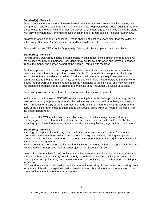### **Standard(s) - Policy 4**

*Troop:* Consists of a minimum of two registered unrelated and background checked adults, one being female, and five registered girls. Men can serve as troop volunteers, but an adult female who is not related to the other volunteer must be present at all times, and at no time is a girl to be alone with only one volunteer. Remember to also check the adult-to-girl ratios in *Volunteer Essentials*.

An advisor for Senior and Ambassador Troops shall be at least two years older than the oldest girl in the troop. See *Volunteer Essentials*, for additional girl/adult ratio requirements.

Troops will remain 'OPEN' in the Opportunity Catalog, displaying open spots for enrollment.

#### **Standard(s) - Policy 5**

Per IRS and GSUSA regulations, a troop's treasury shall benefit all the girls in the troop and shall not be used for individual personal use. Money may not follow a girl when she leaves or changes troops; the money she earned as part of the troop will remain with the troop.

For the purposes of a troop trip, troops may decide to keep individual financial records for the personal contribution portion provided by each family. Troop funds must support all girls in the troop. Use of funds and decision making for trips should be made by the girl members and communicated to the girls' families. Girls, parents and volunteers must understand that if anyone leaves the troop/group or plans change, funds do not belong to the individual and may not follow her should she transfer troops or choose to participate as an individual Girl Scout or Juliette.

Troops may vote to use troop funds for an individual's highest award project.

In the case of theft or loss of GSEWNI assets, including but not limited to product, money, and/or service unit/troop/group/day camp funds, the police must be contacted immediately and a report filed. A request for a copy of the report must be made within 24 hours of giving the report, and a copy of the police report must be submitted to the Council office within 24 hours of its receipt from the police department.

In the event GSEWNI must recover assets by hiring a debt collection agency, an attorney or pursing legal action, GSEWNI will seek to collect all costs associated with said debt collection, including by not limited to, attorney fees and court costs in any lawsuit, legal action or arbitration.

#### **Standard(s) - Policy 6**

**Banking:** A troop ,service unit, day camp bank account must have a minimum of 2 unrelated, current Girl Scout members, with current approved background checks, residing in separate households, as debit card holders on the account. Failure to adhere to this requirement may result in the account being frozen.

Bank accounts are not authorized for individual Juliette Girl Scouts with the exception of individuals working toward an approved Gold Award project or Girl Scout Destination.

Automatic-Teller Machine (ATM) debit cards shall be issued for service unit/troop/group/day camp accounts. Checks or drafts may be utilized only through bill-pay, online banking. Accounts must have a paper receipt for every purchase/use of the ATM debit card, cash withdrawals, and bill-pay transaction.

ATM withdrawals are not allowed without documentation (receipt) of what the money is being spent for and are highly discouraged. ATM withdrawals require submission of this documentation to the council office at the time of the annual reporting.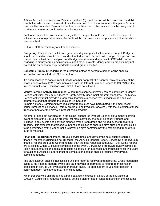A Bank Account overdrawn two (2) times in a three (3) month period will be frozen and the debit card holder who caused the overdraft shall be removed from the account and that person's debit card shall be cancelled. To remove the freeze on the account, the balance must be brought up to positive and a new account holder must be in place.

Bank Accounts will be frozen immediately if there are questionable use of funds or delinquent activities relating to product sales. Accounts will be reinstated as appropriate once all issues have been resolved.

GSEWNI staff will randomly audit bank accounts.

**Budgeting:** Each service unit, troop, group and day camp shall set an annual budget. Budgets should be based on realistic needs and estimated income. Service units, troops. Groups and day camps must submit proposed plans and budgets for review and approval to GSEWNI prior to engaging in money earning activities to support major projects. Money earning projects may not exceed the amount of money needed to support group activities.

**Collecting Funds**: CheddarUp is the preferred method of person to person online financial transactions associated with Girl Scout funds.

If a troop chooses to donate troop funds to another nonprofit, the troop will provide a copy of the chosen nonprofit's 50l(c)(3) documentation from the Internal Revenue Service to GSEWNI in the troop's annual report. Donations over \$250.00 are not allowed.

**Money Earning Activity Guidelines**: When troops/service units/day camps participate in Money Earning Activities, they must adhere to Safety Activity Checkpoint program standards. The Money Earning Activity must provide a progressive learning experience that is cognitive age and level appropriate and that furthers the goals of Girl Scouting

To hold a Money Earning Activity, registered troops must have participated in the most recent council product sales financial literacy program (Fall Products/ Cookies), with the exception of those troops formed after the previous product sales program.

Whether or not a girl participates in the council-sponsored Product Sales or extra money earning event portion of the Girl Scout program, for most activities, she must be equally funded and included in any events and activities planned by the troop/group and funded by the troop/group treasury. It ls expected that troop/group funds be utilized to absorb a girl's dues and materials it is to be determined by the leader that it ls beyond a girl's control to pay the established troop/group dues or materials.

**Financial Reporting:** All troops, groups, service units, and day camps must submit required financial reports, including but not limited to, the Annual Financial Report. Service Unit/Troop/group financial reports are due to Council no later than the date requested annually. – Day Camp reports are to be filed within 15 days of completion of the event. Service Unit/Troop/Group/Day camp is to retain documentation and itemized receipts as backup for purchases and transactions for two years for auditing purposes. Reports must be complete and copies shall be retained by individual submitting reports.

The bank account shall be inaccessible until the report is received and approved. Group leadership failing to file Finance Reports by the due date may not be permitted to hold troop meetings or participate in service unit events and/or product sales. Re-appointment to volunteer position is contingent upon receipt of annual financial reports.

When troop/service unit/group has a bank balance in excess of \$2,400 or the equivalent of \$200/girl, Council may request a specific, detailed plan for use of funds remaining in the accounts.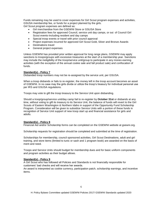Funds remaining may be used to cover expenses for Girl Scout program expenses and activities, GSUSA membership fee, or funds for a project planned by the girls. Girl Scout program expenses are defined as:

Girl merchandise from the GSEWNI Store or GSUSA Store

- Registration fees for approved Council, service unit day camps, or out of Council Girl Scout events-Including resident and day camps
- Special troop events or travel with prior council approval
- Project expenses incurred for approved Girl Scout Gold, Silver and Bronze Awards
- Destinations travel
- General project expenses

Unless GSEWNI has provided prior written approval for long range plans, GSEWNI may apply sanctions to troops/groups with excessive treasuries at the start of a membership year. Sanctions may include the ineligibility of the troop/service unit/group to participate in any monev-earning activities (with the exception of the annual cookie sale and fall product sale) and confiscation of funds.

## **Standard(s) - Policy 7**

Disbanded troop numbers may not be re-assigned by the service unit, per GSUSA.

When a troop disbands or fails to re-register, the money left in the troop account becomes an asset of GSEWNI. In no case may the girls divide or utilize the troop's treasury for individual personal use per IRS and GSUSA regulations.

Troops may vote to gift the troop treasury to the Service Unit upon disbanding.

Should a troop/group/service unit/day camp fail to re-register by **October 31st** or disbands at any time, without voting to gift its treasury to its Service Unit, the balance of funds will revert to the Girl Scouts of Eastern Washington & Northern Idaho in support of the Opportunity Fund Scholarship Program. Consideration will be given to subsidize Service Units with a portion of these funds in recognition of Service Unit support of new troop start up and financial assistance for girls and adults.

#### **Standard(s) - Policy 8**

Financial Aid and/or Scholarship forms can be completed on the GSEWNI website at gsewni.org.

Scholarship requests for registration should be completed and submitted at the time of registration.

Scholarships for membership, council sponsored activities, Girl Scout Destinations, adult and girl training, and store items (limited to tunic or sash and 1 program book) are awarded on the basis of merit and need.

Troops and Service Units should budget for membership dues and for basic uniform components and program activities as their budget allows.

#### **Standard(s) - Policy 9**

A Girl Scout who has followed all Policies and Standards is not financially responsible for customers' bad checks and will receive her awards.

An award is interpreted as cookie currency, participation patch, scholarship earnings, and incentive items.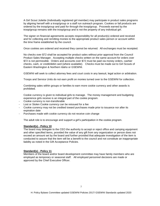A Girl Scout Juliette (Individually registered girl member) may participate in product sales programs by aligning herself with a troop/group or a staff run outreach program. Cookies or fall products are ordered by the troop/group and paid for through the troop/group. Proceeds earned by the troop/group remains with the troop/group and is not the property of any individual girl.

The signer on financial agreements accepts responsibility for all product(s) ordered and received and for collecting and remitting monies to the appropriate product sales person or account within the time frame established by the council.

Once cookies are ordered and received they cannot be returned. All exchanges must be receipted.

No checks over \$72 shall be accepted for product sales without prior approval from the Council Product Sales Manager. Accepting multiple checks written on the same account for orders over \$72 is not permissible. Orders and accounts over \$72 must be paid via money orders, cashier checks, cash, or credit/debit card (where available). Checks must be made out to Girl Scouts of Eastern Washington & Northern Idaho or GSEWNI.

GSEWNI will seek to collect attorney fees and court costs in any lawsuit, legal action or arbitration*.*

Troops and Service Units do not earn profit on monies turned over to the GSEWNI for collection.

Combining sales within groups or families to earn more cookie currency and other awards is prohibited.

Cookie currency is given to individual girls to manage. The money management and budgeting experience girls receive is an integral part of the cookie program.

- Cookie currency is non-transferable
- Lost or Stolen Cookie currency can be reissued for a fee
- Cookie currency may not be credited toward purchases made prior to issuance nor after its expiration date
- Purchases made with cookie currency do not receive coin change

The adult role is to encourage and support a girl's participation in the cookie program.

#### **Standard(s) - Policy 10**

The board may delegate to the CEO the authority to accept or reject office and camping equipment and other specified items, provided the value of any gift from any organization or person does not exceed an amount set by the board and further provided that adequate investigation of the item is conducted to assure that the item will be a benefit to the council and not constitute an inappropriate liability as noted in the Gift Acceptance Policies.

#### **Standard(s) - Policy 11**

Members of the board and/or board development committee may have family members who are employed as temporary or seasonal staff. All employed personnel decisions are made or approved by the Chief Executive Officer.